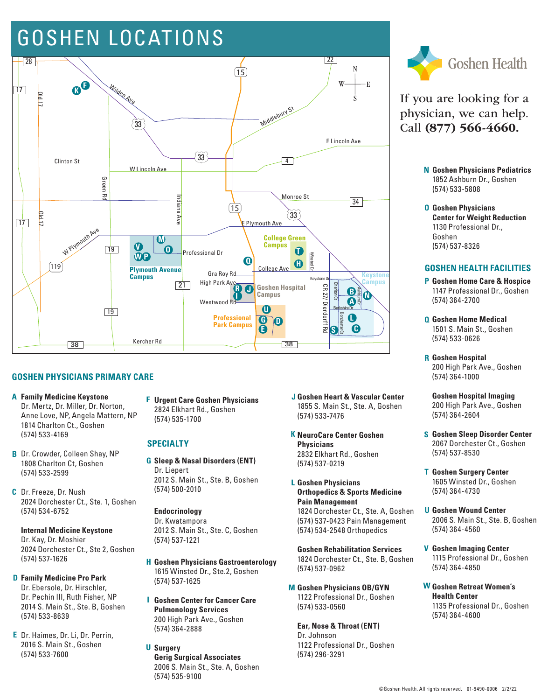## GOSHEN LOCATIONS



#### **GOSHEN PHYSICIANS PRIMARY CARE**

- **Family Medicine Keystone A** Dr. Mertz, Dr. Miller, Dr. Norton, Anne Love, NP, Angela Mattern, NP 1814 Charlton Ct., Goshen (574) 533-4169
- **B** Dr. Crowder, Colleen Shay, NP 1808 Charlton Ct, Goshen (574) 533-2599
- Dr. Freeze, Dr. Nush **C** 2024 Dorchester Ct., Ste. 1, Goshen (574) 534-6752

#### **Internal Medicine Keystone** Dr. Kay, Dr. Moshier 2024 Dorchester Ct., Ste 2, Goshen (574) 537-1626

- **D** Family Medicine Pro Park Dr. Ebersole, Dr. Hirschler, Dr. Pechin III, Ruth Fisher, NP 2014 S. Main St., Ste. B, Goshen (574) 533-8639
- Dr. Haimes, Dr. Li, Dr. Perrin, **E** 2016 S. Main St., Goshen (574) 533-7600

**Urgent Care Goshen Physicians F** 2824 Elkhart Rd., Goshen (574) 535-1700

#### **SPECIALTY**

**G Sleep & Nasal Disorders (ENT)** Dr. Liepert 2012 S. Main St., Ste. B, Goshen (574) 500-2010

#### **Endocrinology** Dr. Kwatampora

2012 S. Main St., Ste. C, Goshen (574) 537-1221

- **H Goshen Physicians Gastroenterology** 1615 Winsted Dr., Ste.2, Goshen (574) 537-1625
- **I Goshen Center for Cancer Care Pulmonology Services** 200 High Park Ave., Goshen (574) 364-2888
- **Surgery UGerig Surgical Associates** 2006 S. Main St., Ste. A, Goshen (574) 535-9100
- **Goshen Heart & Vascular Center J** 1855 S. Main St., Ste. A, Goshen (574) 533-7476
- **NeuroCare Center Goshen K Physicians** 2832 Elkhart Rd., Goshen (574) 537-0219
- **Goshen Physicians L Orthopedics & Sports Medicine Pain Management**

1824 Dorchester Ct., Ste. A, Goshen (574) 537-0423 Pain Management (574) 534-2548 Orthopedics

**Goshen Rehabilitation Services** 1824 Dorchester Ct., Ste. B, Goshen (574) 537-0962

**Goshen Physicians OB/GYN M** 1122 Professional Dr., Goshen (574) 533-0560

**Ear, Nose & Throat (ENT)**  Dr. Johnson 1122 Professional Dr., Goshen (574) 296-3291



If you are looking for a physician, we can help. Call (877) 566-4660.

- **Goshen Physicians Pediatrics N** 1852 Ashburn Dr., Goshen (574) 533-5808
- **O Goshen Physicians Center for Weight Reduction** 1130 Professional Dr., Goshen (574) 537-8326

#### **GOSHEN HEALTH FACILITIES**

- **Goshen Home Care & Hospice P** 1147 Professional Dr., Goshen (574) 364-2700
- **Goshen Home Medical Q** 1501 S. Main St., Goshen (574) 533-0626
- **Goshen Hospital R** 200 High Park Ave., Goshen (574) 364-1000
- **Goshen Hospital Imaging** 200 High Park Ave., Goshen (574) 364-2604
- **Goshen Sleep Disorder Center S** 2067 Dorchester Ct., Goshen (574) 537-8530
- **Goshen Surgery Center T** 1605 Winsted Dr., Goshen (574) 364-4730
- **Goshen Wound Center U** 2006 S. Main St., Ste. B, Goshen (574) 364-4560
- **Goshen Imaging Center V** 1115 Professional Dr., Goshen (574) 364-4850
- **Goshen Retreat Women's W Health Center** 1135 Professional Dr., Goshen (574) 364-4600